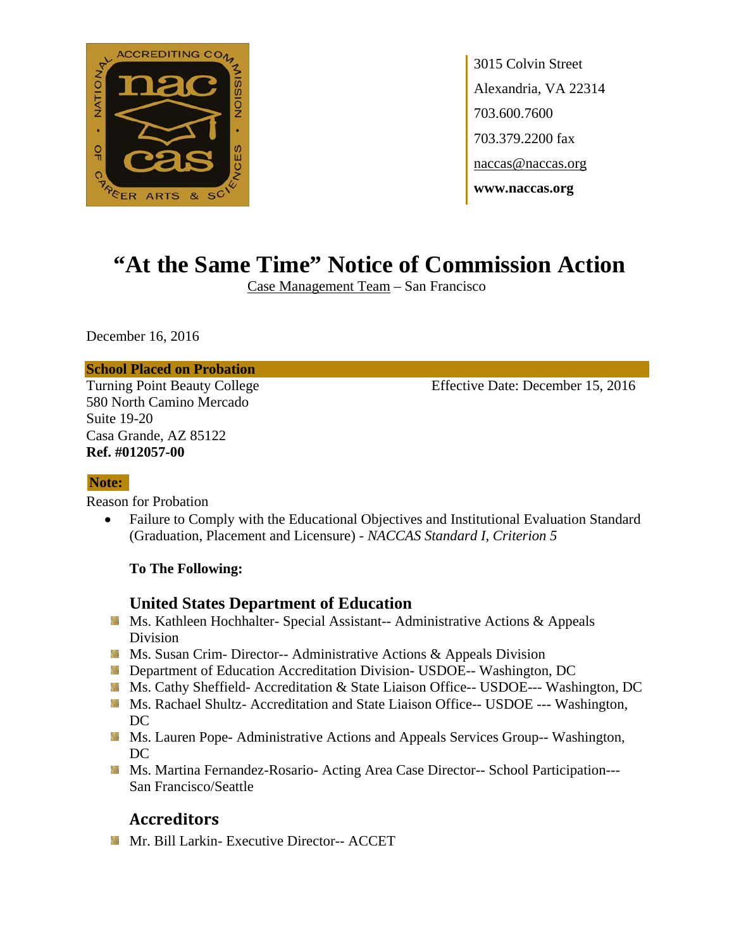

3015 Colvin Street Alexandria, VA 22314 703.600.7600 703.379.2200 fax naccas@naccas.org **www.naccas.org** 

# **"At the Same Time" Notice of Commission Action**

Case Management Team – San Francisco

December 16, 2016

#### **School Placed on Probation**

580 North Camino Mercado Suite 19-20 Casa Grande, AZ 85122 **Ref. #012057-00** 

Turning Point Beauty College Effective Date: December 15, 2016

## **Note:**

Reason for Probation

 Failure to Comply with the Educational Objectives and Institutional Evaluation Standard (Graduation, Placement and Licensure) - *NACCAS Standard I, Criterion 5*

### **To The Following:**

## **United States Department of Education**

- **Ms. Kathleen Hochhalter- Special Assistant-- Administrative Actions & Appeals** Division
- **MS.** Susan Crim-Director-- Administrative Actions & Appeals Division
- **Department of Education Accreditation Division- USDOE-- Washington, DC**
- Ms. Cathy Sheffield- Accreditation & State Liaison Office-- USDOE--- Washington, DC
- **Ms. Rachael Shultz- Accreditation and State Liaison Office-- USDOE --- Washington,** DC
- **Ms. Lauren Pope- Administrative Actions and Appeals Services Group-- Washington,** DC
- Ms. Martina Fernandez-Rosario- Acting Area Case Director-- School Participation---San Francisco/Seattle

# **Accreditors**

**Mr. Bill Larkin- Executive Director-- ACCET**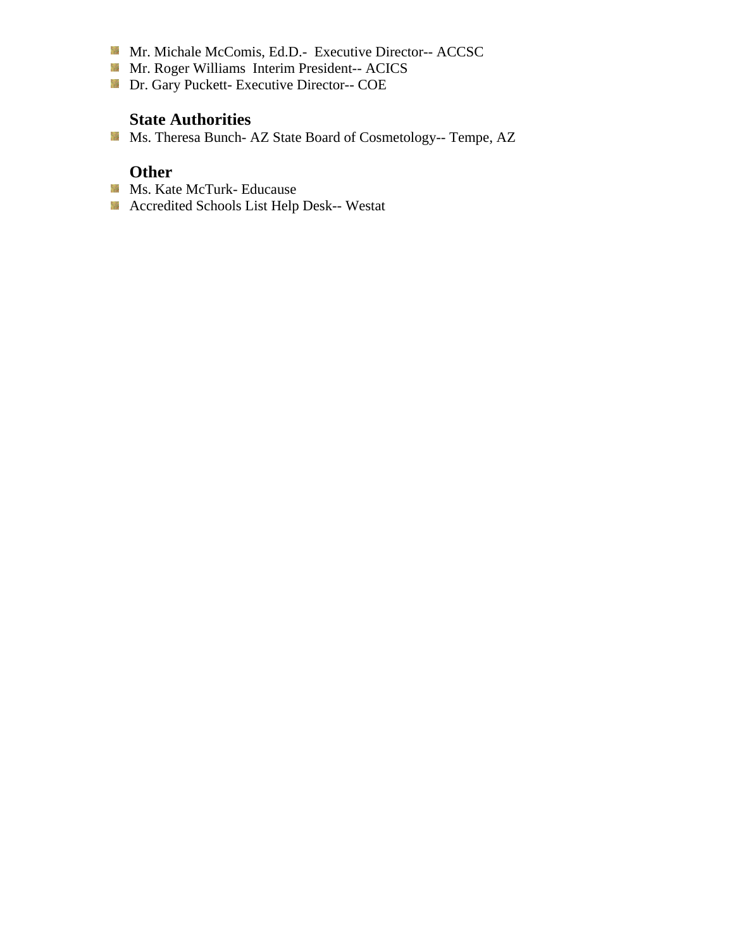- Mr. Michale McComis, Ed.D.- Executive Director-- ACCSC
- **Mr. Roger Williams Interim President-- ACICS**
- **Dr.** Gary Puckett- Executive Director-- COE

### **State Authorities**

Ms. Theresa Bunch- AZ State Board of Cosmetology-- Tempe, AZ

## **Other**

- **Ms. Kate McTurk- Educause**
- **Accredited Schools List Help Desk-- Westat**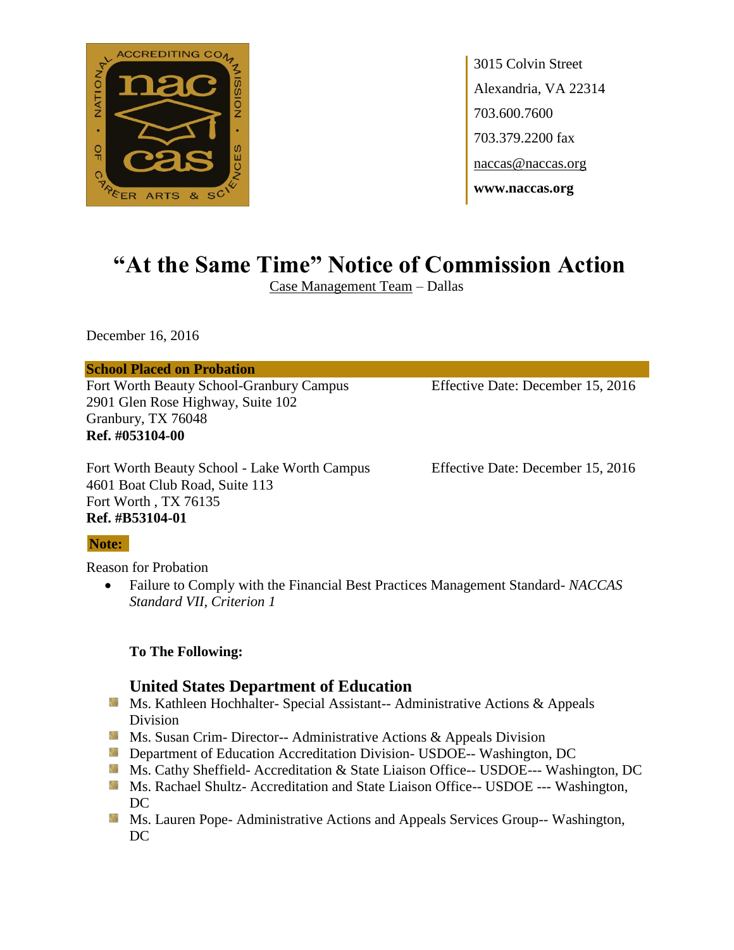

3015 Colvin Street Alexandria, VA 22314 703.600.7600 703.379.2200 fax naccas@naccas.org **www.naccas.org**

# **"At the Same Time" Notice of Commission Action**

Case Management Team – Dallas

December 16, 2016

**School Placed on Probation**

Fort Worth Beauty School-Granbury Campus Effective Date: December 15, 2016 2901 Glen Rose Highway, Suite 102 Granbury, TX 76048 **Ref. #053104-00**

Fort Worth Beauty School - Lake Worth Campus Effective Date: December 15, 2016 4601 Boat Club Road, Suite 113 Fort Worth , TX 76135 **Ref. #B53104-01**

### **Note:**

Reason for Probation

 Failure to Comply with the Financial Best Practices Management Standard- *NACCAS Standard VII, Criterion 1* 

### **To The Following:**

## **United States Department of Education**

- Ms. Kathleen Hochhalter- Special Assistant-- Administrative Actions & Appeals Division
- **Ms.** Susan Crim-Director-- Administrative Actions  $\&$  Appeals Division
- **Externement of Education Accreditation Division- USDOE-- Washington, DC**
- Ms. Cathy Sheffield- Accreditation & State Liaison Office-- USDOE--- Washington, DC
- **Ms. Rachael Shultz- Accreditation and State Liaison Office-- USDOE --- Washington,** DC
- **Ms. Lauren Pope- Administrative Actions and Appeals Services Group-- Washington,** DC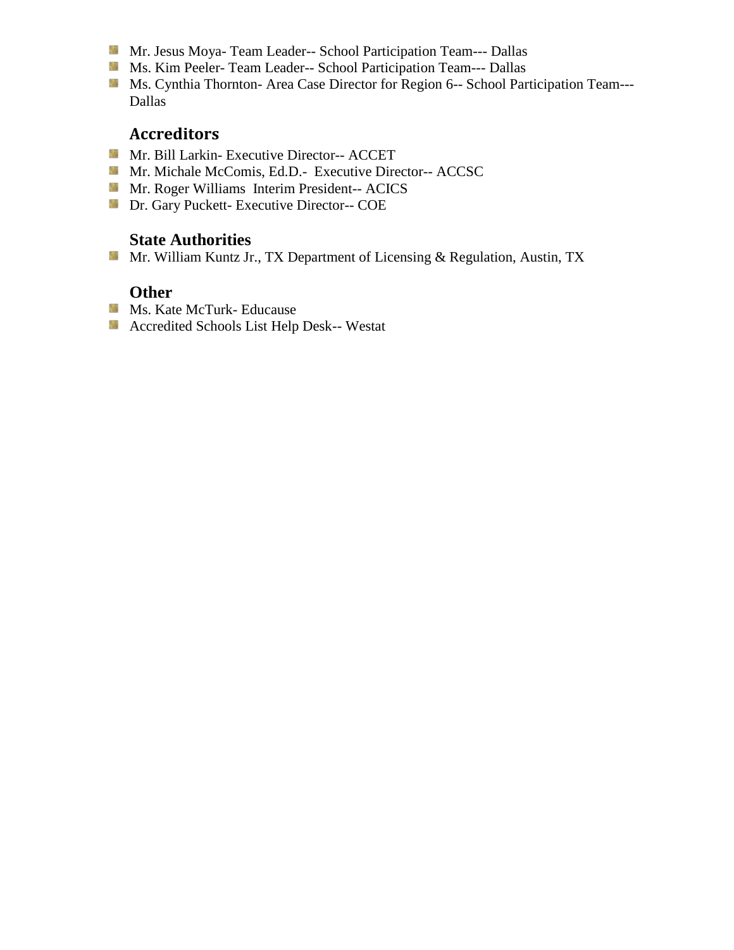- Mr. Jesus Moya- Team Leader-- School Participation Team--- Dallas
- Ms. Kim Peeler- Team Leader-- School Participation Team--- Dallas
- Ms. Cynthia Thornton- Area Case Director for Region 6-- School Participation Team---Dallas

## **Accreditors**

- Mr. Bill Larkin- Executive Director-- ACCET
- Mr. Michale McComis, Ed.D.- Executive Director-- ACCSC
- **Mr. Roger Williams Interim President-- ACICS**
- **Dr. Gary Puckett- Executive Director-- COE**

## **State Authorities**

Mr. William Kuntz Jr., TX Department of Licensing & Regulation, Austin, TX

## **Other**

- **Ms. Kate McTurk- Educause**
- Accredited Schools List Help Desk-- Westat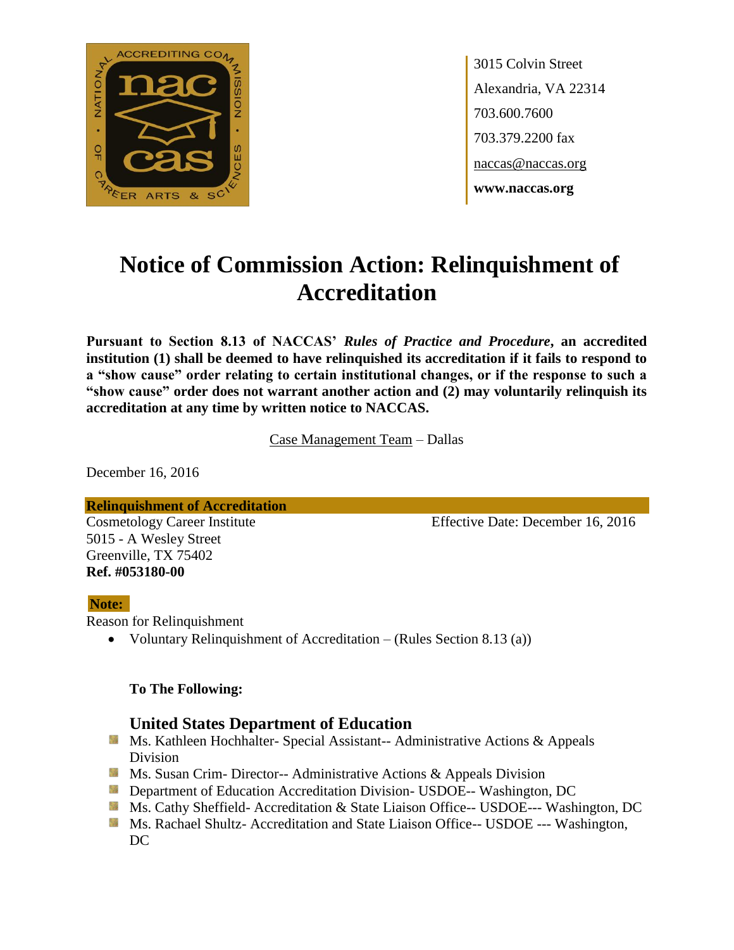

3015 Colvin Street Alexandria, VA 22314 703.600.7600 703.379.2200 fax naccas@naccas.org **www.naccas.org**

# **Notice of Commission Action: Relinquishment of Accreditation**

**Pursuant to Section 8.13 of NACCAS'** *Rules of Practice and Procedure***, an accredited institution (1) shall be deemed to have relinquished its accreditation if it fails to respond to a "show cause" order relating to certain institutional changes, or if the response to such a "show cause" order does not warrant another action and (2) may voluntarily relinquish its accreditation at any time by written notice to NACCAS.**

Case Management Team – Dallas

December 16, 2016

**Relinquishment of Accreditation**

5015 - A Wesley Street Greenville, TX 75402 **Ref. #053180-00**

Cosmetology Career Institute Effective Date: December 16, 2016

### **Note:**

Reason for Relinquishment

Voluntary Relinquishment of Accreditation – (Rules Section 8.13 (a))

### **To The Following:**

## **United States Department of Education**

- **Ms. Kathleen Hochhalter- Special Assistant-- Administrative Actions & Appeals** Division
- **Ms. Susan Crim- Director-- Administrative Actions & Appeals Division**
- **Department of Education Accreditation Division- USDOE-- Washington, DC**
- Ms. Cathy Sheffield- Accreditation & State Liaison Office-- USDOE--- Washington, DC
- **MS. Rachael Shultz- Accreditation and State Liaison Office-- USDOE --- Washington,** DC